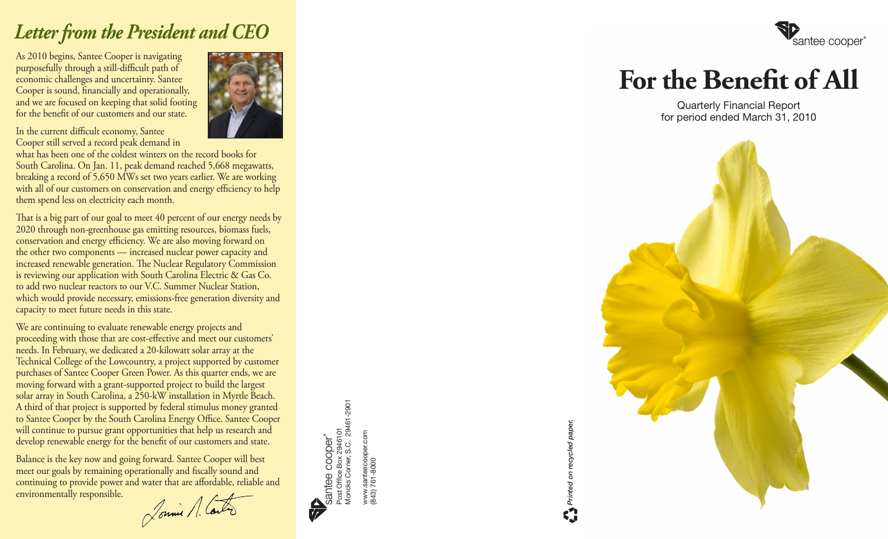# *Letter from the President and CEO*

As 2010 begins, Santee Cooper is navigating purposefully through a still-difficult path of economic challenges and uncertainty. Santee Cooper is sound, financially and operationally, and we are focused on keeping that solid footing for the benefit of our customers and our state.



In the current difficult economy, Santee Cooper still served a record peak demand in

what has been one of the coldest winters on the record books for South Carolina. On Jan. 11, peak demand reached 5,668 megawatts, breaking a record of 5,650 MWs set two years earlier. We are working with all of our customers on conservation and energy efficiency to help them spend less on electricity each month.

That is a big part of our goal to meet 40 percent of our energy needs by 2020 through non-greenhouse gas emitting resources, biomass fuels, conservation and energy efficiency. We are also moving forward on the other two components — increased nuclear power capacity and increased renewable generation. The Nuclear Regulatory Commission is reviewing our application with South Carolina Electric & Gas Co. to add two nuclear reactors to our V.C. Summer Nuclear Station, which would provide necessary, emissions-free generation diversity and capacity to meet future needs in this state.

We are continuing to evaluate renewable energy projects and proceeding with those that are cost-effective and meet our customers' needs. In February, we dedicated a 20-kilowatt solar array at the Technical College of the Lowcountry, a project supported by customer purchases of Santee Cooper Green Power. As this quarter ends, we are moving forward with a grant-supported project to build the largest solar array in South Carolina, a 250-kW installation in Myrtle Beach. A third of that project is supported by federal stimulus money granted to Santee Cooper by the South Carolina Energy Office. Santee Cooper will continue to pursue grant opportunities that help us research and develop renewable energy for the benefit of our customers and state.

Balance is the key now and going forward. Santee Cooper will best meet our goals by remaining operationally and fiscally sound and continuing to provide power and water that are affordable, reliable and environmentally responsible.

Jonnie A. Carter

Santee COOper<sup>®</sup><br>Post Office Box 2946101<br>Moncks Corner, S.C. 29461-2901<br>Www.santeecoper.com Moncks Corner, S.C. 29461-2901 Post Office Box 2946101

www.santeecooper.com<br>843) 761-8000 www.santeecooper.com (843) 761-8000



# **For the Benefit of All**

Quarterly Financial Report for period ended March 31, 2010



*Printed on recycled paper.*

Printed on recycled paper.

E.